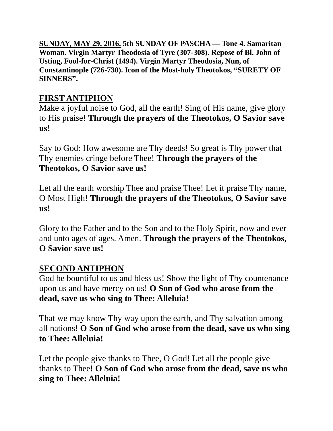**SUNDAY, MAY 29. 2016. 5th SUNDAY OF PASCHA — Tone 4. Samaritan Woman. Virgin Martyr Theodosia of Tyre (307-308). Repose of Bl. John of Ustiug, Fool-for-Christ (1494). Virgin Martyr Theodosia, Nun, of Constantinople (726-730). Icon of the Most-holy Theotokos, "SURETY OF SINNERS".**

## **FIRST ANTIPHON**

Make a joyful noise to God, all the earth! Sing of His name, give glory to His praise! **Through the prayers of the Theotokos, O Savior save us!**

Say to God: How awesome are Thy deeds! So great is Thy power that Thy enemies cringe before Thee! **Through the prayers of the Theotokos, O Savior save us!**

Let all the earth worship Thee and praise Thee! Let it praise Thy name, O Most High! **Through the prayers of the Theotokos, O Savior save us!**

Glory to the Father and to the Son and to the Holy Spirit, now and ever and unto ages of ages. Amen. **Through the prayers of the Theotokos, O Savior save us!**

### **SECOND ANTIPHON**

God be bountiful to us and bless us! Show the light of Thy countenance upon us and have mercy on us! **O Son of God who arose from the dead, save us who sing to Thee: Alleluia!**

That we may know Thy way upon the earth, and Thy salvation among all nations! **O Son of God who arose from the dead, save us who sing to Thee: Alleluia!**

Let the people give thanks to Thee, O God! Let all the people give thanks to Thee! **O Son of God who arose from the dead, save us who sing to Thee: Alleluia!**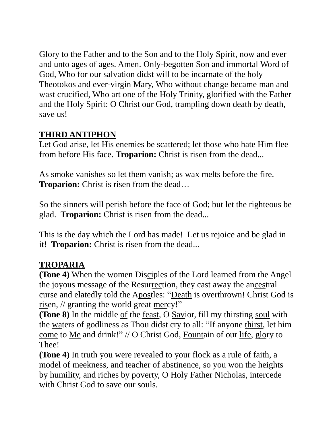Glory to the Father and to the Son and to the Holy Spirit, now and ever and unto ages of ages. Amen. Only-begotten Son and immortal Word of God, Who for our salvation didst will to be incarnate of the holy Theotokos and ever-virgin Mary, Who without change became man and wast crucified, Who art one of the Holy Trinity, glorified with the Father and the Holy Spirit: O Christ our God, trampling down death by death, save us!

## **THIRD ANTIPHON**

Let God arise, let His enemies be scattered; let those who hate Him flee from before His face. **Troparion:** Christ is risen from the dead...

As smoke vanishes so let them vanish; as wax melts before the fire. **Troparion:** Christ is risen from the dead…

So the sinners will perish before the face of God; but let the righteous be glad. **Troparion:** Christ is risen from the dead...

This is the day which the Lord has made! Let us rejoice and be glad in it! **Troparion:** Christ is risen from the dead...

# **TROPARIA**

**(Tone 4)** When the women Disciples of the Lord learned from the Angel the joyous message of the Resurrection, they cast away the ancestral curse and elatedly told the Apostles: "Death is overthrown! Christ God is risen, // granting the world great mercy!"

**(Tone 8)** In the middle of the feast, O Savior, fill my thirsting soul with the waters of godliness as Thou didst cry to all: "If anyone thirst, let him come to Me and drink!" // O Christ God, Fountain of our life, glory to Thee!

**(Tone 4)** In truth you were revealed to your flock as a rule of faith, a model of meekness, and teacher of abstinence, so you won the heights by humility, and riches by poverty, O Holy Father Nicholas, intercede with Christ God to save our souls.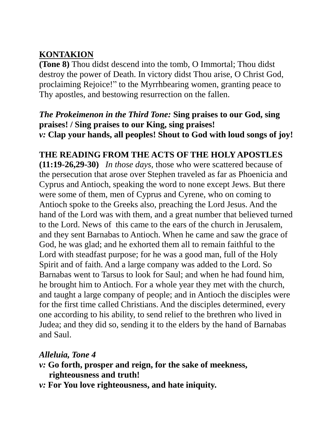## **KONTAKION**

**(Tone 8)** Thou didst descend into the tomb, O Immortal; Thou didst destroy the power of Death. In victory didst Thou arise, O Christ God, proclaiming Rejoice!" to the Myrrhbearing women, granting peace to Thy apostles, and bestowing resurrection on the fallen.

## *The Prokeimenon in the Third Tone:* **Sing praises to our God, sing praises! / Sing praises to our King, sing praises!** *v:* **Clap your hands, all peoples! Shout to God with loud songs of joy!**

**THE READING FROM THE ACTS OF THE HOLY APOSTLES (11:19-26,29-30)** *In those days,* those who were scattered because of the persecution that arose over Stephen traveled as far as Phoenicia and Cyprus and Antioch, speaking the word to none except Jews. But there were some of them, men of Cyprus and Cyrene, who on coming to Antioch spoke to the Greeks also, preaching the Lord Jesus. And the hand of the Lord was with them, and a great number that believed turned to the Lord. News of this came to the ears of the church in Jerusalem, and they sent Barnabas to Antioch. When he came and saw the grace of God, he was glad; and he exhorted them all to remain faithful to the Lord with steadfast purpose; for he was a good man, full of the Holy Spirit and of faith. And a large company was added to the Lord. So Barnabas went to Tarsus to look for Saul; and when he had found him, he brought him to Antioch. For a whole year they met with the church, and taught a large company of people; and in Antioch the disciples were for the first time called Christians. And the disciples determined, every one according to his ability, to send relief to the brethren who lived in Judea; and they did so, sending it to the elders by the hand of Barnabas and Saul.

# *Alleluia, Tone 4*

- *v:* **Go forth, prosper and reign, for the sake of meekness, righteousness and truth!**
- *v:* **For You love righteousness, and hate iniquity.**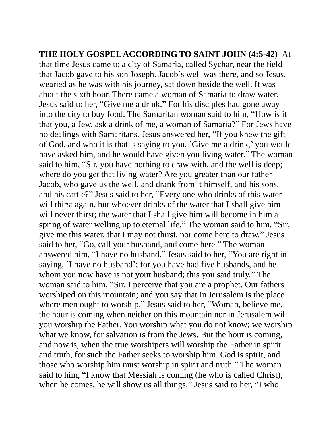**THE HOLY GOSPEL ACCORDING TO SAINT JOHN (4:5-42)** At that time Jesus came to a city of Samaria, called Sychar, near the field that Jacob gave to his son Joseph. Jacob's well was there, and so Jesus, wearied as he was with his journey, sat down beside the well. It was about the sixth hour. There came a woman of Samaria to draw water. Jesus said to her, "Give me a drink." For his disciples had gone away into the city to buy food. The Samaritan woman said to him, "How is it that you, a Jew, ask a drink of me, a woman of Samaria?" For Jews have no dealings with Samaritans. Jesus answered her, "If you knew the gift of God, and who it is that is saying to you, `Give me a drink,' you would have asked him, and he would have given you living water." The woman said to him, "Sir, you have nothing to draw with, and the well is deep; where do you get that living water? Are you greater than our father Jacob, who gave us the well, and drank from it himself, and his sons, and his cattle?" Jesus said to her, "Every one who drinks of this water will thirst again, but whoever drinks of the water that I shall give him will never thirst; the water that I shall give him will become in him a spring of water welling up to eternal life." The woman said to him, "Sir, give me this water, that I may not thirst, nor come here to draw." Jesus said to her, "Go, call your husband, and come here." The woman answered him, "I have no husband." Jesus said to her, "You are right in saying, `I have no husband'; for you have had five husbands, and he whom you now have is not your husband; this you said truly." The woman said to him, "Sir, I perceive that you are a prophet. Our fathers worshiped on this mountain; and you say that in Jerusalem is the place where men ought to worship." Jesus said to her, "Woman, believe me, the hour is coming when neither on this mountain nor in Jerusalem will you worship the Father. You worship what you do not know; we worship what we know, for salvation is from the Jews. But the hour is coming, and now is, when the true worshipers will worship the Father in spirit and truth, for such the Father seeks to worship him. God is spirit, and those who worship him must worship in spirit and truth." The woman said to him, "I know that Messiah is coming (he who is called Christ); when he comes, he will show us all things." Jesus said to her, "I who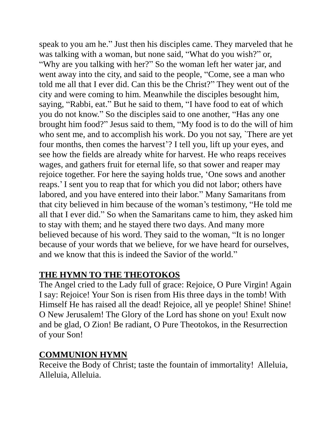speak to you am he." Just then his disciples came. They marveled that he was talking with a woman, but none said, "What do you wish?" or, "Why are you talking with her?" So the woman left her water jar, and went away into the city, and said to the people, "Come, see a man who told me all that I ever did. Can this be the Christ?" They went out of the city and were coming to him. Meanwhile the disciples besought him, saying, "Rabbi, eat." But he said to them, "I have food to eat of which you do not know." So the disciples said to one another, "Has any one brought him food?" Jesus said to them, "My food is to do the will of him who sent me, and to accomplish his work. Do you not say, `There are yet four months, then comes the harvest'? I tell you, lift up your eyes, and see how the fields are already white for harvest. He who reaps receives wages, and gathers fruit for eternal life, so that sower and reaper may rejoice together. For here the saying holds true, 'One sows and another reaps.' I sent you to reap that for which you did not labor; others have labored, and you have entered into their labor." Many Samaritans from that city believed in him because of the woman's testimony, "He told me all that I ever did." So when the Samaritans came to him, they asked him to stay with them; and he stayed there two days. And many more believed because of his word. They said to the woman, "It is no longer because of your words that we believe, for we have heard for ourselves, and we know that this is indeed the Savior of the world."

# **THE HYMN TO THE THEOTOKOS**

The Angel cried to the Lady full of grace: Rejoice, O Pure Virgin! Again I say: Rejoice! Your Son is risen from His three days in the tomb! With Himself He has raised all the dead! Rejoice, all ye people! Shine! Shine! O New Jerusalem! The Glory of the Lord has shone on you! Exult now and be glad, O Zion! Be radiant, O Pure Theotokos, in the Resurrection of your Son!

# **COMMUNION HYMN**

Receive the Body of Christ; taste the fountain of immortality! Alleluia, Alleluia, Alleluia.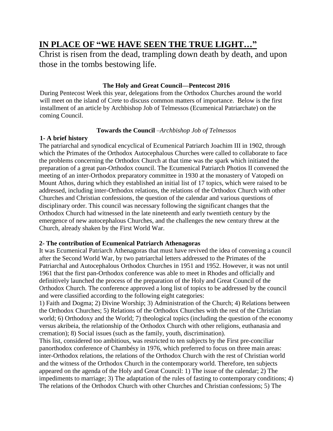## **IN PLACE OF "WE HAVE SEEN THE TRUE LIGHT…"**

Christ is risen from the dead, trampling down death by death, and upon those in the tombs bestowing life.

### **The Holy and Great Council—Pentecost 2016**

During Pentecost Week this year, delegations from the Orthodox Churches around the world will meet on the island of Crete to discuss common matters of importance. Below is the first installment of an article by Archbishop Job of Telmessos (Ecumenical Patriarchate) on the coming Council.

### **Towards the Council** –*Archbishop Job of Telmessos*

### **1- A brief history**

The patriarchal and synodical encyclical of Ecumenical Patriarch Joachim III in 1902, through which the Primates of the Orthodox Autocephalous Churches were called to collaborate to face the problems concerning the Orthodox Church at that time was the spark which initiated the preparation of a great pan-Orthodox council. The Ecumenical Patriarch Photios II convened the meeting of an inter-Orthodox preparatory committee in 1930 at the monastery of Vatopedi on Mount Athos, during which they established an initial list of 17 topics, which were raised to be addressed, including inter-Orthodox relations, the relations of the Orthodox Church with other Churches and Christian confessions, the question of the calendar and various questions of disciplinary order. This council was necessary following the significant changes that the Orthodox Church had witnessed in the late nineteenth and early twentieth century by the emergence of new autocephalous Churches, and the challenges the new century threw at the Church, already shaken by the First World War.

### **2- The contribution of Ecumenical Patriarch Athenagoras**

It was Ecumenical Patriarch Athenagoras that must have revived the idea of convening a council after the Second World War, by two patriarchal letters addressed to the Primates of the Patriarchal and Autocephalous Orthodox Churches in 1951 and 1952. However, it was not until 1961 that the first pan-Orthodox conference was able to meet in Rhodes and officially and definitively launched the process of the preparation of the Holy and Great Council of the Orthodox Church. The conference approved a long list of topics to be addressed by the council and were classified according to the following eight categories:

1) Faith and Dogma; 2) Divine Worship; 3) Administration of the Church; 4) Relations between the Orthodox Churches; 5) Relations of the Orthodox Churches with the rest of the Christian world; 6) Orthodoxy and the World; 7) theological topics (including the question of the economy versus akribeia, the relationship of the Orthodox Church with other religions, euthanasia and cremation); 8) Social issues (such as the family, youth, discrimination).

This list, considered too ambitious, was restricted to ten subjects by the First pre-conciliar panorthodox conference of Chambésy in 1976, which preferred to focus on three main areas: inter-Orthodox relations, the relations of the Orthodox Church with the rest of Christian world and the witness of the Orthodox Church in the contemporary world. Therefore, ten subjects appeared on the agenda of the Holy and Great Council: 1) The issue of the calendar; 2) The impediments to marriage; 3) The adaptation of the rules of fasting to contemporary conditions; 4) The relations of the Orthodox Church with other Churches and Christian confessions; 5) The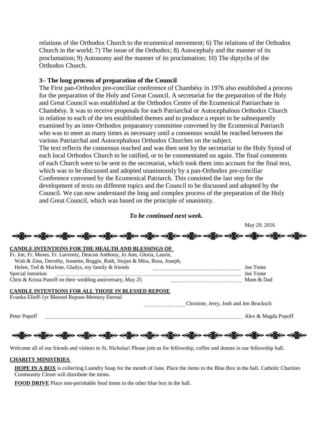relations of the Orthodox Church to the ecumenical movement; 6) The relations of the Orthodox Church in the world; 7) The issue of the Orthodox; 8) Autocephaly and the manner of its proclamation; 9) Autonomy and the manner of its proclamation; 10) The diptychs of the Orthodox Church.

### **3– The long process of preparation of the Council**

The First pan-Orthodox pre-conciliar conference of Chambésy in 1976 also established a process for the preparation of the Holy and Great Council. A secretariat for the preparation of the Holy and Great Council was established at the Orthodox Centre of the Ecumenical Patriarchate in Chambésy. It was to receive proposals for each Patriarchal or Autocephalous Orthodox Church in relation to each of the ten established themes and to produce a report to be subsequently examined by an inter-Orthodox preparatory committee convened by the Ecumenical Patriarch who was to meet as many times as necessary until a consensus would be reached between the various Patriarchal and Autocephalous Orthodox Churches on the subject.

The text reflects the consensus reached and was then sent by the secretariat to the Holy Synod of each local Orthodox Church to be ratified, or to be commentated on again. The final comments of each Church were to be sent to the secretariat, which took them into account for the final text, which was to be discussed and adopted unanimously by a pan-Orthodox pre-conciliar Conference convened by the Ecumenical Patriarch. This consisted the last step for the development of texts on different topics and the Council to be discussed and adopted by the Council. We can now understand the long and complex process of the preparation of the Holy and Great Council, which was based on the principle of unanimity.

### *To be continued next week.*



Welcome all of our friends and visitors to St. Nicholas! Please join us for fellowship, coffee and donuts in our fellowship hall.

### **CHARITY MINISTRIES**

**HOPE IN A BOX** is collecting Laundry Soap for the month of June. Place the items in the Blue Box in the hall. Catholic Charities Community Closet will distribute the items.

**FOOD DRIVE** Place non-perishable food items in the other blue box in the hall.